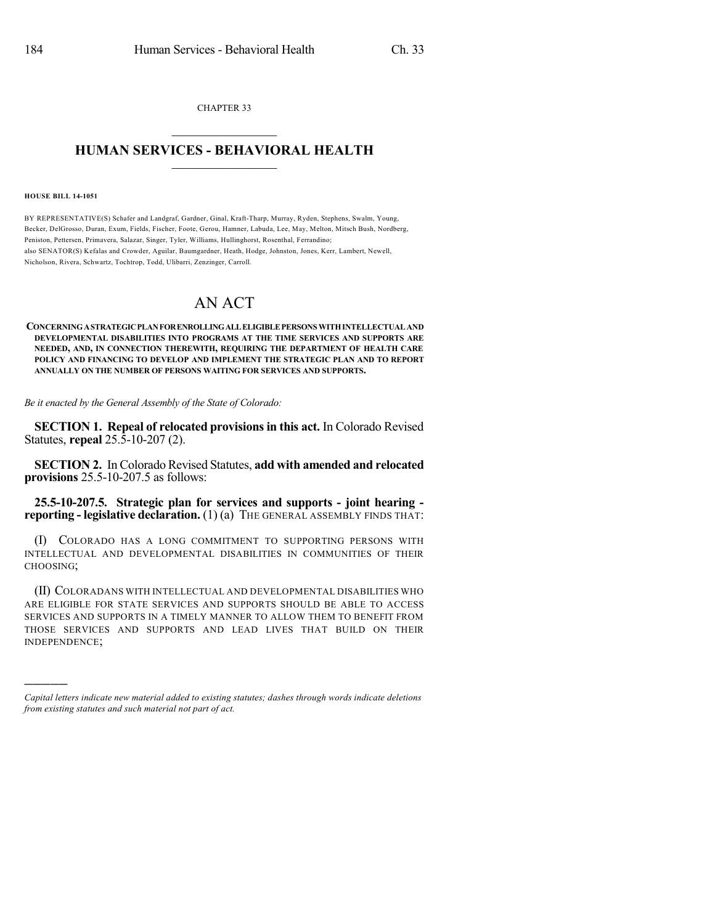CHAPTER 33  $\mathcal{L}_\text{max}$  . The set of the set of the set of the set of the set of the set of the set of the set of the set of the set of the set of the set of the set of the set of the set of the set of the set of the set of the set

## **HUMAN SERVICES - BEHAVIORAL HEALTH**  $\frac{1}{2}$  ,  $\frac{1}{2}$  ,  $\frac{1}{2}$  ,  $\frac{1}{2}$  ,  $\frac{1}{2}$  ,  $\frac{1}{2}$  ,  $\frac{1}{2}$

## **HOUSE BILL 14-1051**

)))))

BY REPRESENTATIVE(S) Schafer and Landgraf, Gardner, Ginal, Kraft-Tharp, Murray, Ryden, Stephens, Swalm, Young, Becker, DelGrosso, Duran, Exum, Fields, Fischer, Foote, Gerou, Hamner, Labuda, Lee, May, Melton, Mitsch Bush, Nordberg, Peniston, Pettersen, Primavera, Salazar, Singer, Tyler, Williams, Hullinghorst, Rosenthal, Ferrandino; also SENATOR(S) Kefalas and Crowder, Aguilar, Baumgardner, Heath, Hodge, Johnston, Jones, Kerr, Lambert, Newell, Nicholson, Rivera, Schwartz, Tochtrop, Todd, Ulibarri, Zenzinger, Carroll.

## AN ACT

**CONCERNINGASTRATEGICPLANFORENROLLINGALLELIGIBLEPERSONS WITHINTELLECTUALAND DEVELOPMENTAL DISABILITIES INTO PROGRAMS AT THE TIME SERVICES AND SUPPORTS ARE NEEDED, AND, IN CONNECTION THEREWITH, REQUIRING THE DEPARTMENT OF HEALTH CARE POLICY AND FINANCING TO DEVELOP AND IMPLEMENT THE STRATEGIC PLAN AND TO REPORT ANNUALLY ON THE NUMBER OF PERSONS WAITING FOR SERVICES AND SUPPORTS.**

*Be it enacted by the General Assembly of the State of Colorado:*

**SECTION 1. Repeal of relocated provisionsin this act.** In Colorado Revised Statutes, **repeal** 25.5-10-207 (2).

**SECTION 2.** In Colorado Revised Statutes, **add with amended and relocated provisions** 25.5-10-207.5 as follows:

**25.5-10-207.5. Strategic plan for services and supports - joint hearing reporting - legislative declaration.** (1) (a) THE GENERAL ASSEMBLY FINDS THAT:

(I) COLORADO HAS A LONG COMMITMENT TO SUPPORTING PERSONS WITH INTELLECTUAL AND DEVELOPMENTAL DISABILITIES IN COMMUNITIES OF THEIR CHOOSING;

(II) COLORADANS WITH INTELLECTUAL AND DEVELOPMENTAL DISABILITIES WHO ARE ELIGIBLE FOR STATE SERVICES AND SUPPORTS SHOULD BE ABLE TO ACCESS SERVICES AND SUPPORTS IN A TIMELY MANNER TO ALLOW THEM TO BENEFIT FROM THOSE SERVICES AND SUPPORTS AND LEAD LIVES THAT BUILD ON THEIR INDEPENDENCE;

*Capital letters indicate new material added to existing statutes; dashes through words indicate deletions from existing statutes and such material not part of act.*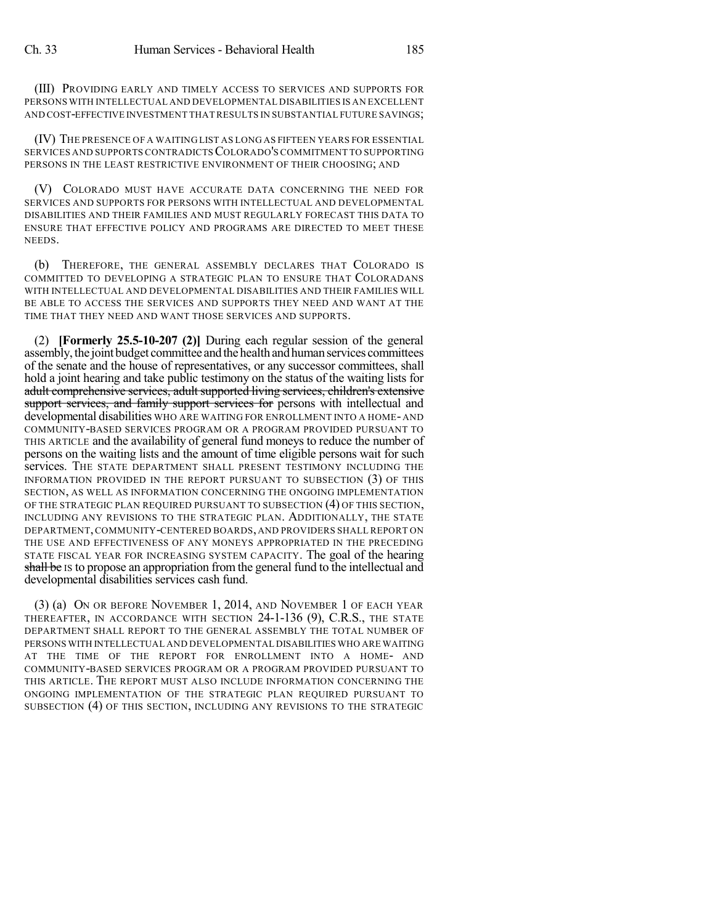(III) PROVIDING EARLY AND TIMELY ACCESS TO SERVICES AND SUPPORTS FOR PERSONS WITH INTELLECTUAL AND DEVELOPMENTAL DISABILITIES IS AN EXCELLENT AND COST-EFFECTIVE INVESTMENT THATRESULTS IN SUBSTANTIAL FUTURE SAVINGS;

(IV) THE PRESENCE OF A WAITING LIST AS LONG AS FIFTEEN YEARS FOR ESSENTIAL SERVICES AND SUPPORTS CONTRADICTSCOLORADO'S COMMITMENT TO SUPPORTING PERSONS IN THE LEAST RESTRICTIVE ENVIRONMENT OF THEIR CHOOSING; AND

(V) COLORADO MUST HAVE ACCURATE DATA CONCERNING THE NEED FOR SERVICES AND SUPPORTS FOR PERSONS WITH INTELLECTUAL AND DEVELOPMENTAL DISABILITIES AND THEIR FAMILIES AND MUST REGULARLY FORECAST THIS DATA TO ENSURE THAT EFFECTIVE POLICY AND PROGRAMS ARE DIRECTED TO MEET THESE NEEDS.

(b) THEREFORE, THE GENERAL ASSEMBLY DECLARES THAT COLORADO IS COMMITTED TO DEVELOPING A STRATEGIC PLAN TO ENSURE THAT COLORADANS WITH INTELLECTUAL AND DEVELOPMENTAL DISABILITIES AND THEIR FAMILIES WILL BE ABLE TO ACCESS THE SERVICES AND SUPPORTS THEY NEED AND WANT AT THE TIME THAT THEY NEED AND WANT THOSE SERVICES AND SUPPORTS.

(2) **[Formerly 25.5-10-207 (2)]** During each regular session of the general assembly, the joint budget committee and the health and human services committees of the senate and the house of representatives, or any successor committees, shall hold a joint hearing and take public testimony on the status of the waiting lists for adult comprehensive services, adult supported living services, children's extensive support services, and family support services for persons with intellectual and developmental disabilities WHO ARE WAITING FOR ENROLLMENT INTO A HOME- AND COMMUNITY-BASED SERVICES PROGRAM OR A PROGRAM PROVIDED PURSUANT TO THIS ARTICLE and the availability of general fund moneys to reduce the number of persons on the waiting lists and the amount of time eligible persons wait for such services. THE STATE DEPARTMENT SHALL PRESENT TESTIMONY INCLUDING THE INFORMATION PROVIDED IN THE REPORT PURSUANT TO SUBSECTION (3) OF THIS SECTION, AS WELL AS INFORMATION CONCERNING THE ONGOING IMPLEMENTATION OF THE STRATEGIC PLAN REQUIRED PURSUANT TO SUBSECTION (4) OF THIS SECTION, INCLUDING ANY REVISIONS TO THE STRATEGIC PLAN. ADDITIONALLY, THE STATE DEPARTMENT,COMMUNITY-CENTERED BOARDS, AND PROVIDERS SHALL REPORT ON THE USE AND EFFECTIVENESS OF ANY MONEYS APPROPRIATED IN THE PRECEDING STATE FISCAL YEAR FOR INCREASING SYSTEM CAPACITY. The goal of the hearing shall be IS to propose an appropriation from the general fund to the intellectual and developmental disabilities services cash fund.

(3) (a) ON OR BEFORE NOVEMBER 1, 2014, AND NOVEMBER 1 OF EACH YEAR THEREAFTER, IN ACCORDANCE WITH SECTION 24-1-136 (9), C.R.S., THE STATE DEPARTMENT SHALL REPORT TO THE GENERAL ASSEMBLY THE TOTAL NUMBER OF PERSONS WITH INTELLECTUAL AND DEVELOPMENTAL DISABILITIES WHO ARE WAITING AT THE TIME OF THE REPORT FOR ENROLLMENT INTO A HOME- AND COMMUNITY-BASED SERVICES PROGRAM OR A PROGRAM PROVIDED PURSUANT TO THIS ARTICLE. THE REPORT MUST ALSO INCLUDE INFORMATION CONCERNING THE ONGOING IMPLEMENTATION OF THE STRATEGIC PLAN REQUIRED PURSUANT TO SUBSECTION (4) OF THIS SECTION, INCLUDING ANY REVISIONS TO THE STRATEGIC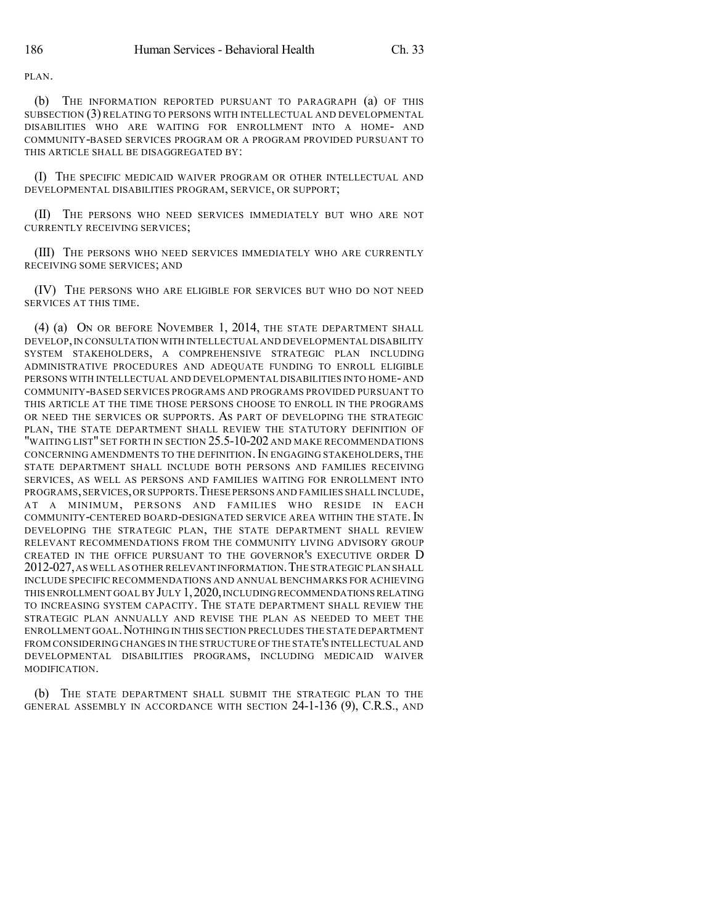PLAN.

(b) THE INFORMATION REPORTED PURSUANT TO PARAGRAPH (a) OF THIS SUBSECTION (3) RELATING TO PERSONS WITH INTELLECTUAL AND DEVELOPMENTAL DISABILITIES WHO ARE WAITING FOR ENROLLMENT INTO A HOME- AND COMMUNITY-BASED SERVICES PROGRAM OR A PROGRAM PROVIDED PURSUANT TO THIS ARTICLE SHALL BE DISAGGREGATED BY:

(I) THE SPECIFIC MEDICAID WAIVER PROGRAM OR OTHER INTELLECTUAL AND DEVELOPMENTAL DISABILITIES PROGRAM, SERVICE, OR SUPPORT;

(II) THE PERSONS WHO NEED SERVICES IMMEDIATELY BUT WHO ARE NOT CURRENTLY RECEIVING SERVICES;

(III) THE PERSONS WHO NEED SERVICES IMMEDIATELY WHO ARE CURRENTLY RECEIVING SOME SERVICES; AND

(IV) THE PERSONS WHO ARE ELIGIBLE FOR SERVICES BUT WHO DO NOT NEED SERVICES AT THIS TIME.

(4) (a) ON OR BEFORE NOVEMBER 1, 2014, THE STATE DEPARTMENT SHALL DEVELOP,IN CONSULTATION WITH INTELLECTUAL AND DEVELOPMENTAL DISABILITY SYSTEM STAKEHOLDERS, A COMPREHENSIVE STRATEGIC PLAN INCLUDING ADMINISTRATIVE PROCEDURES AND ADEQUATE FUNDING TO ENROLL ELIGIBLE PERSONS WITH INTELLECTUAL AND DEVELOPMENTAL DISABILITIES INTO HOME-AND COMMUNITY-BASED SERVICES PROGRAMS AND PROGRAMS PROVIDED PURSUANT TO THIS ARTICLE AT THE TIME THOSE PERSONS CHOOSE TO ENROLL IN THE PROGRAMS OR NEED THE SERVICES OR SUPPORTS. AS PART OF DEVELOPING THE STRATEGIC PLAN, THE STATE DEPARTMENT SHALL REVIEW THE STATUTORY DEFINITION OF "WAITING LIST" SET FORTH IN SECTION 25.5-10-202 AND MAKE RECOMMENDATIONS CONCERNING AMENDMENTS TO THE DEFINITION. IN ENGAGING STAKEHOLDERS, THE STATE DEPARTMENT SHALL INCLUDE BOTH PERSONS AND FAMILIES RECEIVING SERVICES, AS WELL AS PERSONS AND FAMILIES WAITING FOR ENROLLMENT INTO PROGRAMS,SERVICES,OR SUPPORTS.THESE PERSONS AND FAMILIES SHALL INCLUDE, AT A MINIMUM, PERSONS AND FAMILIES WHO RESIDE IN EACH COMMUNITY-CENTERED BOARD-DESIGNATED SERVICE AREA WITHIN THE STATE. IN DEVELOPING THE STRATEGIC PLAN, THE STATE DEPARTMENT SHALL REVIEW RELEVANT RECOMMENDATIONS FROM THE COMMUNITY LIVING ADVISORY GROUP CREATED IN THE OFFICE PURSUANT TO THE GOVERNOR'S EXECUTIVE ORDER D 2012-027,AS WELL AS OTHER RELEVANT INFORMATION.THE STRATEGIC PLAN SHALL INCLUDE SPECIFIC RECOMMENDATIONS AND ANNUAL BENCHMARKS FOR ACHIEVING THIS ENROLLMENT GOAL BY JULY 1, 2020, INCLUDING RECOMMENDATIONS RELATING TO INCREASING SYSTEM CAPACITY. THE STATE DEPARTMENT SHALL REVIEW THE STRATEGIC PLAN ANNUALLY AND REVISE THE PLAN AS NEEDED TO MEET THE ENROLLMENT GOAL.NOTHING IN THIS SECTION PRECLUDES THE STATE DEPARTMENT FROM CONSIDERING CHANGES IN THE STRUCTURE OF THE STATE'S INTELLECTUAL AND DEVELOPMENTAL DISABILITIES PROGRAMS, INCLUDING MEDICAID WAIVER MODIFICATION.

(b) THE STATE DEPARTMENT SHALL SUBMIT THE STRATEGIC PLAN TO THE GENERAL ASSEMBLY IN ACCORDANCE WITH SECTION 24-1-136 (9), C.R.S., AND